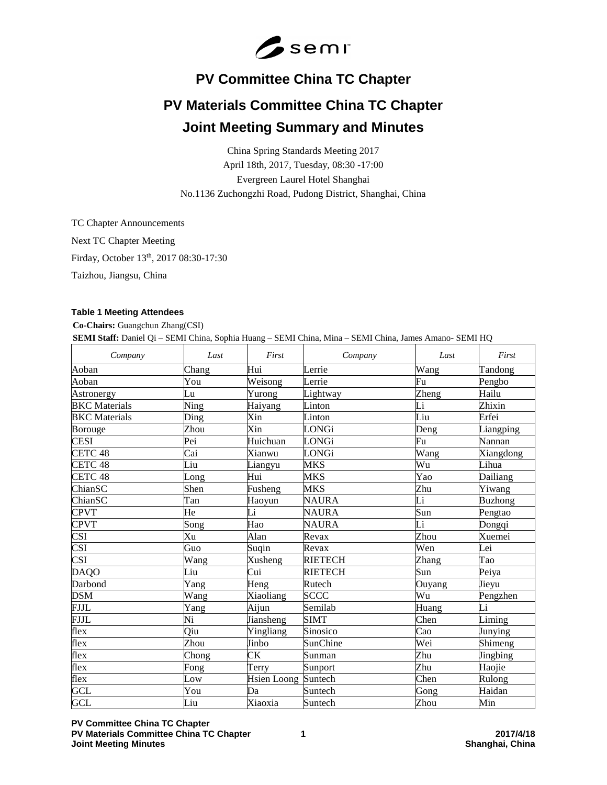

# **PV Committee China TC Chapter**

# **PV Materials Committee China TC Chapter Joint Meeting Summary and Minutes**

China Spring Standards Meeting 2017 April 18th, 2017, Tuesday, 08:30 -17:00 Evergreen Laurel Hotel Shanghai No.1136 Zuchongzhi Road, Pudong District, Shanghai, China

TC Chapter Announcements

Next TC Chapter Meeting

Firday, October 13th, 2017 08:30-17:30

Taizhou, Jiangsu, China

# **Table 1 Meeting Attendees**

**Co-Chairs:** Guangchun Zhang(CSI)

**SEMI Staff:** Daniel Qi – SEMI China, Sophia Huang – SEMI China, Mina – SEMI China, James Amano- SEMI HQ

| Company                 | Last  | First               | Company        | Last                | First          |
|-------------------------|-------|---------------------|----------------|---------------------|----------------|
| Aoban                   | Chang | Hui                 | Lerrie         | Wang                | Tandong        |
| Aoban                   | You   | Weisong             | Lerrie         | Fu                  | Pengbo         |
| Astronergy              | Lu    | Yurong              | Lightway       | Zheng               | Hailu          |
| <b>BKC</b> Materials    | Ning  | Haiyang             | Linton         | Li                  | Zhixin         |
| <b>BKC</b> Materials    | Ding  | Xin                 | Linton         | Liu                 | Erfei          |
| Borouge                 | Zhou  | Xin                 | LONGi          | Deng                | Liangping      |
| <b>CESI</b>             | Pei   | Huichuan            | LONGi          | Fu                  | Nannan         |
| CETC <sub>48</sub>      | Cai   | Xianwu              | LONGi          | Wang                | Xiangdong      |
| CETC <sub>48</sub>      | Liu   | Liangyu             | <b>MKS</b>     | Wu                  | Lihua          |
| CETC <sub>48</sub>      | Long  | Hui                 | MKS            | Yao                 | Dailiang       |
| ChianSC                 | Shen  | Fusheng             | MKS            | Zhu                 | Yiwang         |
| ChianSC                 | Tan   | Haoyun              | <b>NAURA</b>   | $\overline{\rm Li}$ | <b>Buzhong</b> |
| <b>CPVT</b>             | He    | Li                  | <b>NAURA</b>   | Sun                 | Pengtao        |
| <b>CPVT</b>             | Song  | Hao                 | <b>NAURA</b>   | $\overline{\rm Li}$ | Dongqi         |
| $\overline{\text{CSI}}$ | Xu    | Alan                | Revax          | Zhou                | Xuemei         |
| <b>CSI</b>              | Guo   | Suqin               | Revax          | Wen                 | Lei            |
| <b>CSI</b>              | Wang  | Xusheng             | <b>RIETECH</b> | Zhang               | Tao            |
| <b>DAQO</b>             | Liu   | Cui                 | <b>RIETECH</b> | Sun                 | Peiya          |
| Darbond                 | Yang  | Heng                | Rutech         | Ouyang              | Jieyu          |
| <b>DSM</b>              | Wang  | Xiaoliang           | <b>SCCC</b>    | Wu                  | Pengzhen       |
| <b>FJJL</b>             | Yang  | Aijun               | Semilab        | Huang               | Li             |
| <b>FJJL</b>             | Ni    | Jiansheng           | <b>SIMT</b>    | Chen                | Liming         |
| flex                    | Qiu   | Yingliang           | Sinosico       | Cao                 | Junying        |
| flex                    | Zhou  | Jinbo               | SunChine       | Wei                 | Shimeng        |
| flex                    | Chong | <b>CK</b>           | Sunman         | Zhu                 | Jingbing       |
| flex                    | Fong  | Terry               | Sunport        | Zhu                 | Haojie         |
| flex                    | Low   | Hsien Loong Suntech |                | Chen                | Rulong         |
| <b>GCL</b>              | You   | Da                  | Suntech        | Gong                | Haidan         |
| <b>GCL</b>              | Liu   | Xiaoxia             | Suntech        | Zhou                | Min            |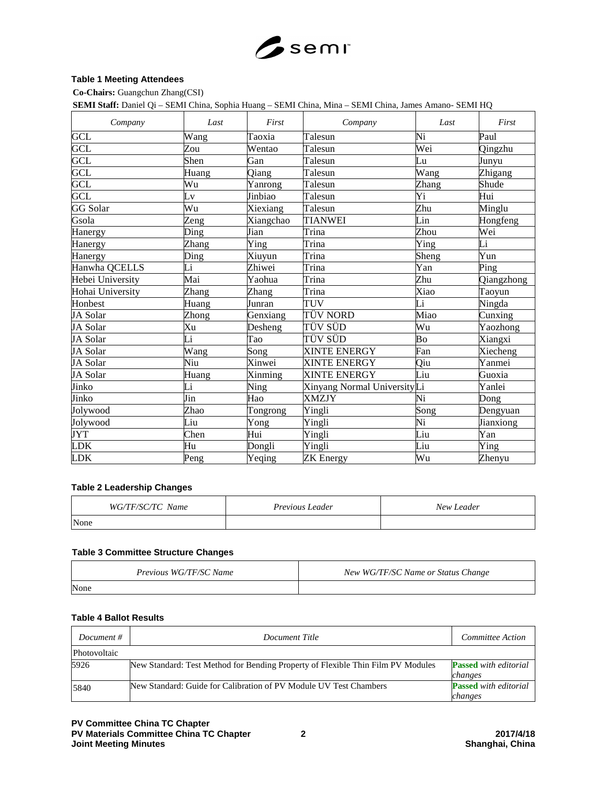

#### **Table 1 Meeting Attendees**

**Co-Chairs:** Guangchun Zhang(CSI)

**SEMI Staff:** Daniel Qi – SEMI China, Sophia Huang – SEMI China, Mina – SEMI China, James Amano- SEMI HQ

| Company                 | Last  | First     | Company                     | Last  | First      |
|-------------------------|-------|-----------|-----------------------------|-------|------------|
| <b>GCL</b>              | Wang  | Taoxia    | Talesun                     | Ni    | Paul       |
| <b>GCL</b>              | Zou   | Wentao    | Talesun                     | Wei   | Qingzhu    |
| <b>GCL</b>              | Shen  | Gan       | Talesun                     | Lu    | Junyu      |
| <b>GCL</b>              | Huang | Qiang     | Talesun                     | Wang  | Zhigang    |
| <b>GCL</b>              | Wu    | Yanrong   | Talesun                     | Zhang | Shude      |
| $\overline{\text{GCL}}$ | Lv    | Jinbiao   | Talesun                     | Yi    | Hui        |
| <b>GG</b> Solar         | Wu    | Xiexiang  | Talesun                     | Zhu   | Minglu     |
| Gsola                   | Zeng  | Xiangchao | <b>TIANWEI</b>              | Lin   | Hongfeng   |
| Hanergy                 | Ding  | Jian      | Trina                       | Zhou  | Wei        |
| Hanergy                 | Zhang | Ying      | $\overline{\text{Trina}}$   | Ying  | Li         |
| Hanergy                 | Ding  | Xiuyun    | Trina                       | Sheng | Yun        |
| Hanwha QCELLS           | Li    | Zhiwei    | Trina                       | Yan   | Ping       |
| Hebei University        | Mai   | Yaohua    | Trina                       | Zhu   | Qiangzhong |
| Hohai University        | Zhang | Zhang     | Trina                       | Xiao  | Taoyun     |
| Honbest                 | Huang | Junran    | <b>TUV</b>                  | Li    | Ningda     |
| JA Solar                | Zhong | Genxiang  | TÜV NORD                    | Miao  | Cunxing    |
| JA Solar                | Xu    | Desheng   | TÜV SÜD                     | Wu    | Yaozhong   |
| JA Solar                | Li    | Tao       | TÜV SÜD                     | Bo    | Xiangxi    |
| JA Solar                | Wang  | Song      | <b>XINTE ENERGY</b>         | Fan   | Xiecheng   |
| JA Solar                | Niu   | Xinwei    | <b>XINTE ENERGY</b>         | Qiu   | Yanmei     |
| JA Solar                | Huang | Xinming   | <b>XINTE ENERGY</b>         | Liu   | Guoxia     |
| Jinko                   | Li    | Ning      | Xinyang Normal UniversityLi |       | Yanlei     |
| Jinko                   | Jin   | Hao       | <b>XMZJY</b>                | Ni    | Dong       |
| Jolywood                | Zhao  | Tongrong  | Yingli                      | Song  | Dengyuan   |
| Jolywood                | Liu   | Yong      | Yingli                      | Ni    | Jianxiong  |
| <b>JYT</b>              | Chen  | Hui       | Yingli                      | Liu   | Yan        |
| <b>LDK</b>              | Hu    | Dongli    | Yingli                      | Liu   | Ying       |
| <b>LDK</b>              | Peng  | Yeqing    | <b>ZK</b> Energy            | Wu    | Zhenyu     |

#### **Table 2 Leadership Changes**

| WG/TF/SC/TC Name | <i>Previous Leader</i> | New Leader |
|------------------|------------------------|------------|
| None             |                        |            |

#### **Table 3 Committee Structure Changes**

| Previous WG/TF/SC Name | New WG/TF/SC Name or Status Change |
|------------------------|------------------------------------|
| None                   |                                    |

## **Table 4 Ballot Results**

| Document #   | Document Title                                                                  | Committee Action                        |
|--------------|---------------------------------------------------------------------------------|-----------------------------------------|
| Photovoltaic |                                                                                 |                                         |
| 5926         | New Standard: Test Method for Bending Property of Flexible Thin Film PV Modules | <b>Passed</b> with editorial<br>changes |
| 5840         | New Standard: Guide for Calibration of PV Module UV Test Chambers               | <b>Passed</b> with editorial<br>changes |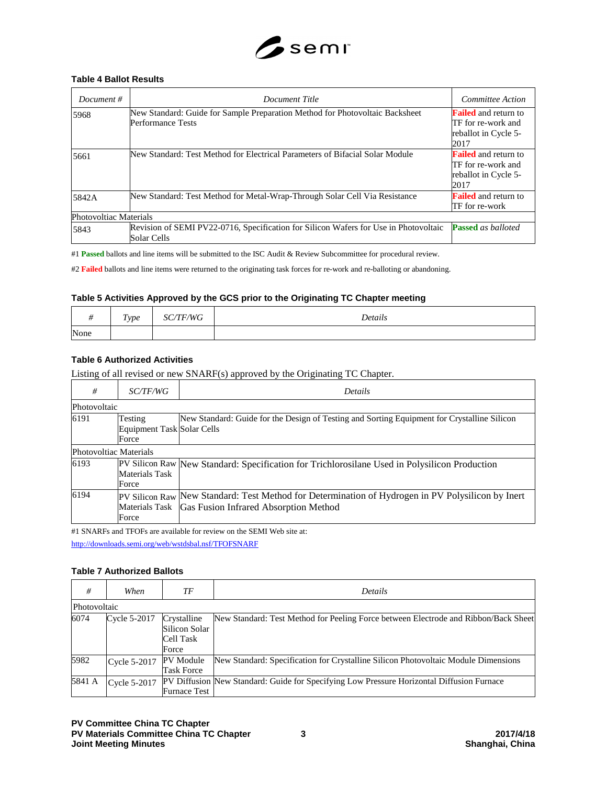

#### **Table 4 Ballot Results**

| Document $#$           | Document Title                                                                                      | Committee Action                                                                  |
|------------------------|-----------------------------------------------------------------------------------------------------|-----------------------------------------------------------------------------------|
| 5968                   | New Standard: Guide for Sample Preparation Method for Photovoltaic Backsheet<br>Performance Tests   | <b>Failed</b> and return to<br>TF for re-work and<br>reballot in Cycle 5-<br>2017 |
| 5661                   | New Standard: Test Method for Electrical Parameters of Bifacial Solar Module                        | <b>Failed</b> and return to<br>TF for re-work and<br>reballot in Cycle 5-<br>2017 |
| 5842A                  | New Standard: Test Method for Metal-Wrap-Through Solar Cell Via Resistance                          | <b>Failed</b> and return to<br>TF for re-work                                     |
| Photovoltiac Materials |                                                                                                     |                                                                                   |
| 5843                   | Revision of SEMI PV22-0716, Specification for Silicon Wafers for Use in Photovoltaic<br>Solar Cells | <b>Passed</b> as balloted                                                         |

#1 **Passed** ballots and line items will be submitted to the ISC Audit & Review Subcommittee for procedural review.

#2 **Failed** ballots and line items were returned to the originating task forces for re-work and re-balloting or abandoning.

#### **Table 5 Activities Approved by the GCS prior to the Originating TC Chapter meeting**

|      | $\sim$<br>Type<br>$\sim$ 1 | /WG<br>- DL | Details |
|------|----------------------------|-------------|---------|
| None |                            |             |         |

# **Table 6 Authorized Activities**

Listing of all revised or new SNARF(s) approved by the Originating TC Chapter.

| #            | <i>SC/TF/WG</i>                                | Details                                                                                                                                                   |
|--------------|------------------------------------------------|-----------------------------------------------------------------------------------------------------------------------------------------------------------|
| Photovoltaic |                                                |                                                                                                                                                           |
| 6191         | Testing<br>Equipment Task Solar Cells<br>Force | New Standard: Guide for the Design of Testing and Sorting Equipment for Crystalline Silicon                                                               |
|              | Photovoltiac Materials                         |                                                                                                                                                           |
| 6193         | Materials Task<br>Force                        | PV Silicon Raw New Standard: Specification for Trichlorosilane Used in Polysilicon Production                                                             |
| 6194         | Force                                          | PV Silicon Raw New Standard: Test Method for Determination of Hydrogen in PV Polysilicon by Inert<br>Materials Task Gas Fusion Infrared Absorption Method |

#1 SNARFs and TFOFs are available for review on the SEMI Web site at:

<http://downloads.semi.org/web/wstdsbal.nsf/TFOFSNARF>

#### **Table 7 Authorized Ballots**

| #            | When         | ТF                                                 | Details                                                                                   |
|--------------|--------------|----------------------------------------------------|-------------------------------------------------------------------------------------------|
| Photovoltaic |              |                                                    |                                                                                           |
| 6074         | Cycle 5-2017 | Crystalline<br>Silicon Solar<br>Cell Task<br>Force | New Standard: Test Method for Peeling Force between Electrode and Ribbon/Back Sheet       |
| 5982         | Cycle 5-2017 | PV Module<br><b>Task Force</b>                     | New Standard: Specification for Crystalline Silicon Photovoltaic Module Dimensions        |
| 5841 A       | Cycle 5-2017 | <b>Furnace Test</b>                                | PV Diffusion New Standard: Guide for Specifying Low Pressure Horizontal Diffusion Furnace |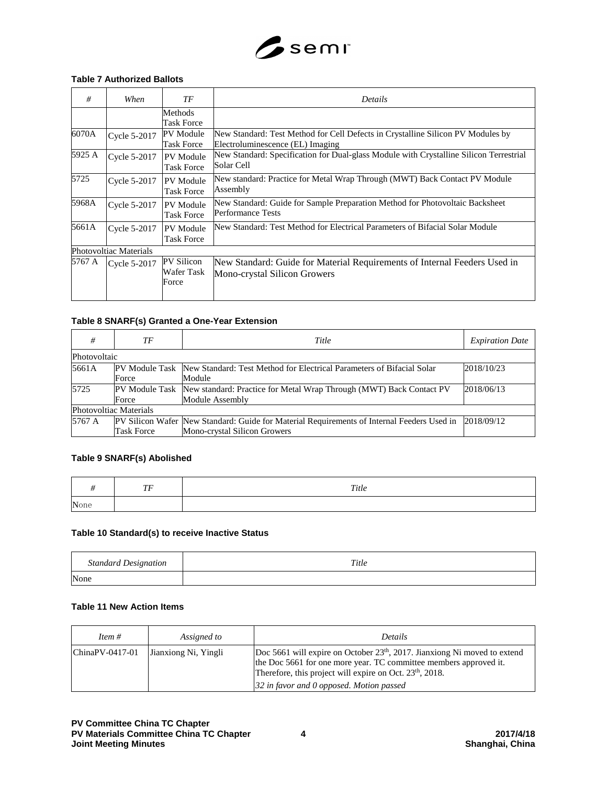

#### **Table 7 Authorized Ballots**

| #                             | When         | TF                                    | <i>Details</i>                                                                                                      |
|-------------------------------|--------------|---------------------------------------|---------------------------------------------------------------------------------------------------------------------|
|                               |              | Methods<br><b>Task Force</b>          |                                                                                                                     |
| 6070A                         | Cycle 5-2017 | PV Module<br><b>Task Force</b>        | New Standard: Test Method for Cell Defects in Crystalline Silicon PV Modules by<br>Electroluminescence (EL) Imaging |
| 5925 A                        | Cycle 5-2017 | <b>PV</b> Module<br><b>Task Force</b> | New Standard: Specification for Dual-glass Module with Crystalline Silicon Terrestrial<br>Solar Cell                |
| 5725                          | Cycle 5-2017 | <b>PV</b> Module<br><b>Task Force</b> | New standard: Practice for Metal Wrap Through (MWT) Back Contact PV Module<br>Assembly                              |
| 5968A                         | Cycle 5-2017 | <b>PV</b> Module<br><b>Task Force</b> | New Standard: Guide for Sample Preparation Method for Photovoltaic Backsheet<br><b>Performance Tests</b>            |
| 5661A                         | Cycle 5-2017 | <b>PV</b> Module<br><b>Task Force</b> | New Standard: Test Method for Electrical Parameters of Bifacial Solar Module                                        |
| <b>Photovoltiac Materials</b> |              |                                       |                                                                                                                     |
| 5767 A                        | Cycle 5-2017 | PV Silicon<br>Wafer Task<br>Force     | New Standard: Guide for Material Requirements of Internal Feeders Used in<br>Mono-crystal Silicon Growers           |

#### **Table 8 SNARF(s) Granted a One-Year Extension**

| #                      | ТF                | Title                                                                                                                      | <b>Expiration Date</b> |
|------------------------|-------------------|----------------------------------------------------------------------------------------------------------------------------|------------------------|
| Photovoltaic           |                   |                                                                                                                            |                        |
| 5661A                  | Force             | PV Module Task New Standard: Test Method for Electrical Parameters of Bifacial Solar<br>Module                             | 2018/10/23             |
| 5725                   | Force             | PV Module Task New standard: Practice for Metal Wrap Through (MWT) Back Contact PV<br>Module Assembly                      | 2018/06/13             |
| Photovoltiac Materials |                   |                                                                                                                            |                        |
| 5767 A                 | <b>Task Force</b> | PV Silicon Wafer New Standard: Guide for Material Requirements of Internal Feeders Used in<br>Mono-crystal Silicon Growers | 2018/09/12             |

#### **Table 9 SNARF(s) Abolished**

|      | TF | $\emph{Title}$ |
|------|----|----------------|
| None |    |                |

#### **Table 10 Standard(s) to receive Inactive Status**

| <b>Standard Designation</b> | Title |
|-----------------------------|-------|
| None                        |       |

# **Table 11 New Action Items**

| Item $#$           | Assigned to          | Details                                                                                                                                                                                                                                                                        |
|--------------------|----------------------|--------------------------------------------------------------------------------------------------------------------------------------------------------------------------------------------------------------------------------------------------------------------------------|
| $ ChinaPV-0417-01$ | Jianxiong Ni, Yingli | Doc 5661 will expire on October 23 <sup>th</sup> , 2017. Jianxiong Ni moved to extend<br>the Doc 5661 for one more year. TC committee members approved it.<br>Therefore, this project will expire on Oct. 23 <sup>th</sup> , 2018.<br>32 in favor and 0 opposed. Motion passed |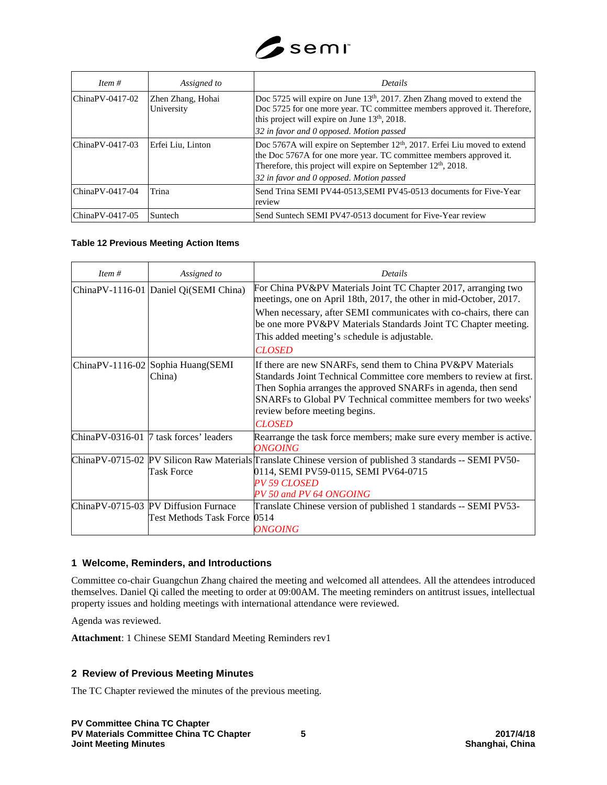

| Item $#$         | Assigned to                     | <b>Details</b>                                                                                                                                                                                                                                                                       |
|------------------|---------------------------------|--------------------------------------------------------------------------------------------------------------------------------------------------------------------------------------------------------------------------------------------------------------------------------------|
| ChinaPV-0417-02  | Zhen Zhang, Hohai<br>University | Doc 5725 will expire on June 13 <sup>th</sup> , 2017. Zhen Zhang moved to extend the<br>Doc 5725 for one more year. TC committee members approved it. Therefore,<br>this project will expire on June 13th, 2018.                                                                     |
|                  |                                 | 32 in favor and 0 opposed. Motion passed                                                                                                                                                                                                                                             |
| ChinaPV-0417-03  | Erfei Liu, Linton               | Doc 5767A will expire on September 12 <sup>th</sup> , 2017. Erfei Liu moved to extend<br>the Doc 5767A for one more year. TC committee members approved it.<br>Therefore, this project will expire on September 12 <sup>th</sup> , 2018.<br>32 in favor and 0 opposed. Motion passed |
| lChinaPV-0417-04 | Trina                           | Send Trina SEMI PV44-0513, SEMI PV45-0513 documents for Five-Year                                                                                                                                                                                                                    |
|                  |                                 | review                                                                                                                                                                                                                                                                               |
| ChinaPV-0417-05  | Suntech                         | Send Suntech SEMI PV47-0513 document for Five-Year review                                                                                                                                                                                                                            |

# **Table 12 Previous Meeting Action Items**

| Item $#$ | Assigned to                                                          | <b>Details</b>                                                                                                                                                                                                                                                                                                           |
|----------|----------------------------------------------------------------------|--------------------------------------------------------------------------------------------------------------------------------------------------------------------------------------------------------------------------------------------------------------------------------------------------------------------------|
|          | ChinaPV-1116-01 Daniel Qi(SEMI China)                                | For China PV&PV Materials Joint TC Chapter 2017, arranging two<br>meetings, one on April 18th, 2017, the other in mid-October, 2017.                                                                                                                                                                                     |
|          |                                                                      | When necessary, after SEMI communicates with co-chairs, there can<br>be one more PV&PV Materials Standards Joint TC Chapter meeting.<br>This added meeting's schedule is adjustable.<br><b>CLOSED</b>                                                                                                                    |
|          | ChinaPV-1116-02 Sophia Huang(SEMI<br>China)                          | If there are new SNARFs, send them to China PV&PV Materials<br>Standards Joint Technical Committee core members to review at first.<br>Then Sophia arranges the approved SNARFs in agenda, then send<br>SNARFs to Global PV Technical committee members for two weeks'<br>review before meeting begins.<br><b>CLOSED</b> |
|          | ChinaPV-0316-01 7 task forces' leaders                               | Rearrange the task force members; make sure every member is active.<br><b>ONGOING</b>                                                                                                                                                                                                                                    |
|          | <b>Task Force</b>                                                    | ChinaPV-0715-02 PV Silicon Raw Materials Translate Chinese version of published 3 standards -- SEMI PV50-<br>0114, SEMI PV59-0115, SEMI PV64-0715<br><b>PV 59 CLOSED</b><br>PV 50 and PV 64 ONGOING                                                                                                                      |
|          | ChinaPV-0715-03 PV Diffusion Furnace<br>Test Methods Task Force 0514 | Translate Chinese version of published 1 standards -- SEMI PV53-<br><i><b>ONGOING</b></i>                                                                                                                                                                                                                                |

# **1 Welcome, Reminders, and Introductions**

Committee co-chair Guangchun Zhang chaired the meeting and welcomed all attendees. All the attendees introduced themselves. Daniel Qi called the meeting to order at 09:00AM. The meeting reminders on antitrust issues, intellectual property issues and holding meetings with international attendance were reviewed.

Agenda was reviewed.

**Attachment**: 1 Chinese SEMI Standard Meeting Reminders rev1

# **2 Review of Previous Meeting Minutes**

The TC Chapter reviewed the minutes of the previous meeting.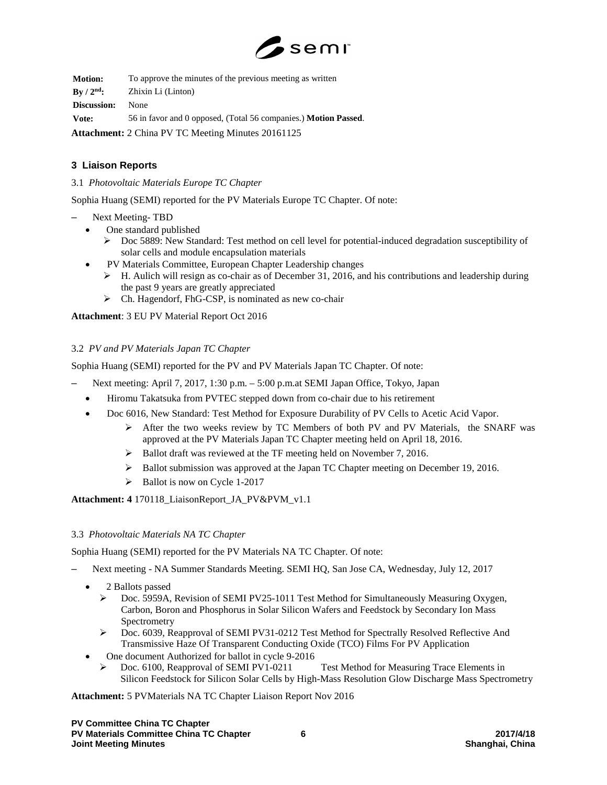

**Motion:** To approve the minutes of the previous meeting as written **By / 2nd:** Zhixin Li (Linton) **Discussion:** None **Vote:** 56 in favor and 0 opposed, (Total 56 companies.) **Motion Passed**.

**Attachment:** 2 China PV TC Meeting Minutes 20161125

# **3 Liaison Reports**

#### 3.1 *Photovoltaic Materials Europe TC Chapter*

Sophia Huang (SEMI) reported for the PV Materials Europe TC Chapter. Of note:

- Next Meeting- TBD
	- One standard published
		- Doc 5889: New Standard: Test method on cell level for potential-induced degradation susceptibility of solar cells and module encapsulation materials
	- PV Materials Committee, European Chapter Leadership changes
		- H. Aulich will resign as co-chair as of December 31, 2016, and his contributions and leadership during the past 9 years are greatly appreciated
		- Ch. Hagendorf, FhG-CSP, is nominated as new co-chair

# **Attachment**: 3 EU PV Material Report Oct 2016

#### 3.2 *PV and PV Materials Japan TC Chapter*

Sophia Huang (SEMI) reported for the PV and PV Materials Japan TC Chapter. Of note:

- Next meeting: April 7, 2017, 1:30 p.m. 5:00 p.m.at SEMI Japan Office, Tokyo, Japan
	- Hiromu Takatsuka from PVTEC stepped down from co-chair due to his retirement
	- Doc 6016, New Standard: Test Method for Exposure Durability of PV Cells to Acetic Acid Vapor.
		- $\triangleright$  After the two weeks review by TC Members of both PV and PV Materials, the SNARF was approved at the PV Materials Japan TC Chapter meeting held on April 18, 2016.
		- $\triangleright$  Ballot draft was reviewed at the TF meeting held on November 7, 2016.
		- $\triangleright$  Ballot submission was approved at the Japan TC Chapter meeting on December 19, 2016.
		- $\triangleright$  Ballot is now on Cycle 1-2017

# **Attachment: 4** 170118\_LiaisonReport\_JA\_PV&PVM\_v1.1

# 3.3 *Photovoltaic Materials NA TC Chapter*

Sophia Huang (SEMI) reported for the PV Materials NA TC Chapter. Of note:

- Next meeting NA Summer Standards Meeting. SEMI HQ, San Jose CA, Wednesday, July 12, 2017
	- 2 Ballots passed
		- Doc. 5959A, Revision of SEMI PV25-1011 Test Method for Simultaneously Measuring Oxygen, Carbon, Boron and Phosphorus in Solar Silicon Wafers and Feedstock by Secondary Ion Mass Spectrometry
		- Doc. 6039, Reapproval of SEMI PV31-0212 Test Method for Spectrally Resolved Reflective And Transmissive Haze Of Transparent Conducting Oxide (TCO) Films For PV Application
	- One document Authorized for ballot in cycle 9-2016<br>behavior. Doc. 6100, Reapproval of SEMI PV1-0211
		- Test Method for Measuring Trace Elements in Silicon Feedstock for Silicon Solar Cells by High-Mass Resolution Glow Discharge Mass Spectrometry

**Attachment:** 5 PVMaterials NA TC Chapter Liaison Report Nov 2016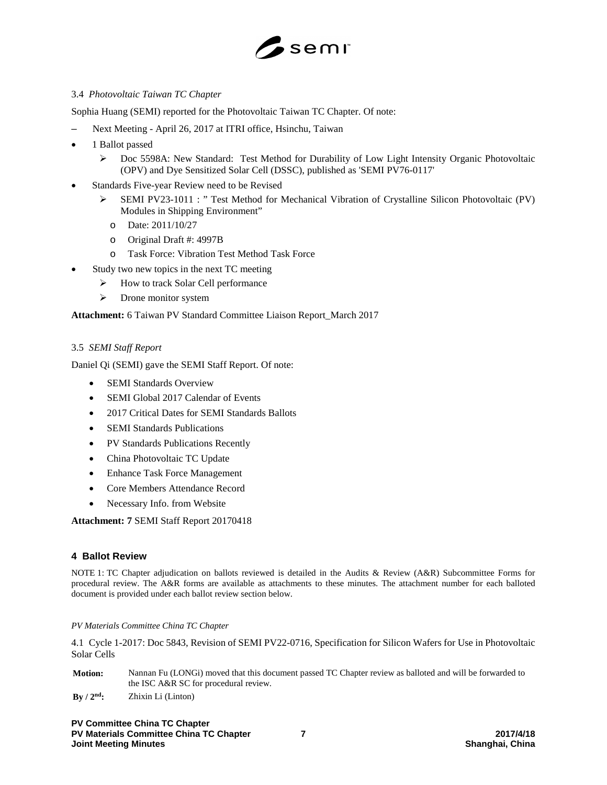

# 3.4 *Photovoltaic Taiwan TC Chapter*

Sophia Huang (SEMI) reported for the Photovoltaic Taiwan TC Chapter. Of note:

- Next Meeting April 26, 2017 at ITRI office, Hsinchu, Taiwan
- 1 Ballot passed
	- Doc 5598A: New Standard: Test Method for Durability of Low Light Intensity Organic Photovoltaic (OPV) and Dye Sensitized Solar Cell (DSSC), published as 'SEMI PV76-0117'
- Standards Five-year Review need to be Revised
	- SEMI PV23-1011 : " Test Method for Mechanical Vibration of Crystalline Silicon Photovoltaic (PV) Modules in Shipping Environment"
		- o Date: 2011/10/27
		- o Original Draft #: 4997B
		- o Task Force: Vibration Test Method Task Force
- Study two new topics in the next TC meeting
	- > How to track Solar Cell performance
	- > Drone monitor system

**Attachment:** 6 Taiwan PV Standard Committee Liaison Report\_March 2017

# 3.5 *SEMI Staff Report*

Daniel Qi (SEMI) gave the SEMI Staff Report. Of note:

- SEMI Standards Overview
- SEMI Global 2017 Calendar of Events
- 2017 Critical Dates for SEMI Standards Ballots
- **SEMI Standards Publications**
- PV Standards Publications Recently
- China Photovoltaic TC Update
- Enhance Task Force Management
- Core Members Attendance Record
- Necessary Info. from Website

**Attachment: 7** SEMI Staff Report 20170418

# **4 Ballot Review**

NOTE 1: TC Chapter adjudication on ballots reviewed is detailed in the Audits & Review (A&R) Subcommittee Forms for procedural review. The A&R forms are available as attachments to these minutes. The attachment number for each balloted document is provided under each ballot review section below.

#### *PV Materials Committee China TC Chapter*

4.1 Cycle 1-2017: Doc 5843, Revision of SEMI PV22-0716, Specification for Silicon Wafers for Use in Photovoltaic Solar Cells

| <b>Motion:</b>                  | Nannan Fu (LONG) moved that this document passed TC Chapter review as balloted and will be forwarded to<br>the ISC A&R SC for procedural review. |
|---------------------------------|--------------------------------------------------------------------------------------------------------------------------------------------------|
| $\rm\,By\,$ / $\rm\,2^{nd}\rm:$ | Zhixin Li (Linton)                                                                                                                               |

**PV Committee China TC Chapter PV Materials Committee China TC Chapter 7 2017/4/18 Joint Meeting Minutes**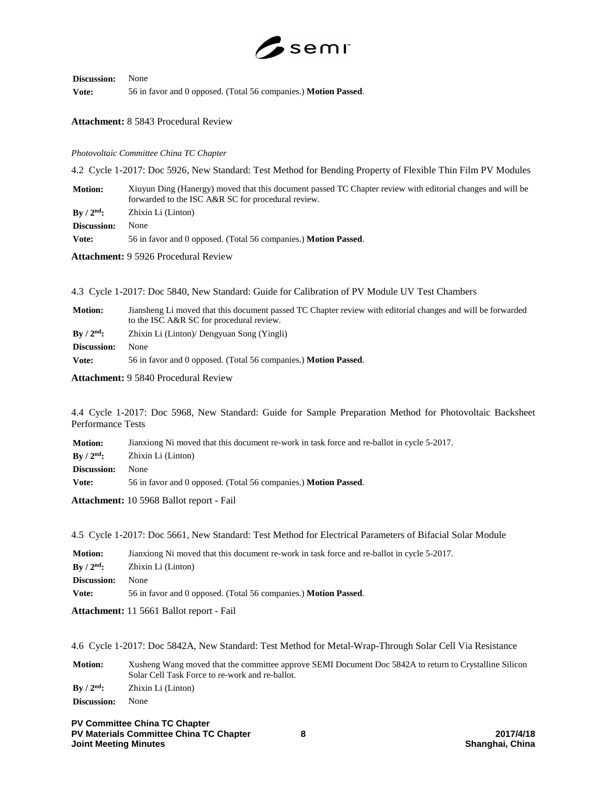

# **Discussion:** None

**Vote:** 56 in favor and 0 opposed. (Total 56 companies.) **Motion Passed**.

#### **Attachment:** 8 5843 Procedural Review

#### *Photovoltaic Committee China TC Chapter*

4.2 Cycle 1-2017: Doc 5926, New Standard: Test Method for Bending Property of Flexible Thin Film PV Modules

**Motion:** Xiuyun Ding (Hanergy) moved that this document passed TC Chapter review with editorial changes and will be forwarded to the ISC A&R SC for procedural review.

**By / 2nd:** Zhixin Li (Linton)

**Discussion:** None

**Vote:** 56 in favor and 0 opposed. (Total 56 companies.) **Motion Passed**.

**Attachment:** 9 5926 Procedural Review

| 4.3 Cycle 1-2017: Doc 5840, New Standard: Guide for Calibration of PV Module UV Test Chambers |  |  |  |  |  |  |  |  |  |  |  |
|-----------------------------------------------------------------------------------------------|--|--|--|--|--|--|--|--|--|--|--|
|-----------------------------------------------------------------------------------------------|--|--|--|--|--|--|--|--|--|--|--|

| <b>Motion:</b>     | Jiansheng Li moved that this document passed TC Chapter review with editorial changes and will be forwarded<br>to the ISC A&R SC for procedural review. |
|--------------------|---------------------------------------------------------------------------------------------------------------------------------------------------------|
| $\rm{Bv}/2^{nd}$ : | Zhixin Li (Linton)/ Dengyuan Song (Yingli)                                                                                                              |
| Discussion:        | None                                                                                                                                                    |
| Vote:              | 56 in favor and 0 opposed. (Total 56 companies.) Motion Passed.                                                                                         |

**Attachment:** 9 5840 Procedural Review

4.4 Cycle 1-2017: Doc 5968, New Standard: Guide for Sample Preparation Method for Photovoltaic Backsheet Performance Tests

| <b>Motion:</b>             | Jianxiong Ni moved that this document re-work in task force and re-ballot in cycle 5-2017. |
|----------------------------|--------------------------------------------------------------------------------------------|
| $\rm\,By$ / $\rm 2^{nd}$ : | Zhixin Li (Linton)                                                                         |
| Discussion:                | None                                                                                       |
| Vote:                      | 56 in favor and 0 opposed. (Total 56 companies.) <b>Motion Passed.</b>                     |

**Attachment:** 10 5968 Ballot report - Fail

4.5 Cycle 1-2017: Doc 5661, New Standard: Test Method for Electrical Parameters of Bifacial Solar Module

| <b>Motion:</b>                        | Jianxiong Ni moved that this document re-work in task force and re-ballot in cycle 5-2017. |
|---------------------------------------|--------------------------------------------------------------------------------------------|
| $\rm\,By\,$ / $\rm\,2^{nd}\mathbf{:}$ | Zhixin Li (Linton)                                                                         |
| Discussion:                           | None                                                                                       |
| Vote:                                 | 56 in favor and 0 opposed. (Total 56 companies.) <b>Motion Passed.</b>                     |
|                                       |                                                                                            |

**Attachment:** 11 5661 Ballot report - Fail

4.6 Cycle 1-2017: Doc 5842A, New Standard: Test Method for Metal-Wrap-Through Solar Cell Via Resistance

**Motion:** Xusheng Wang moved that the committee approve SEMI Document Doc 5842A to return to Crystalline Silicon Solar Cell Task Force to re-work and re-ballot.

**By / 2nd:** Zhixin Li (Linton)

**Discussion:** None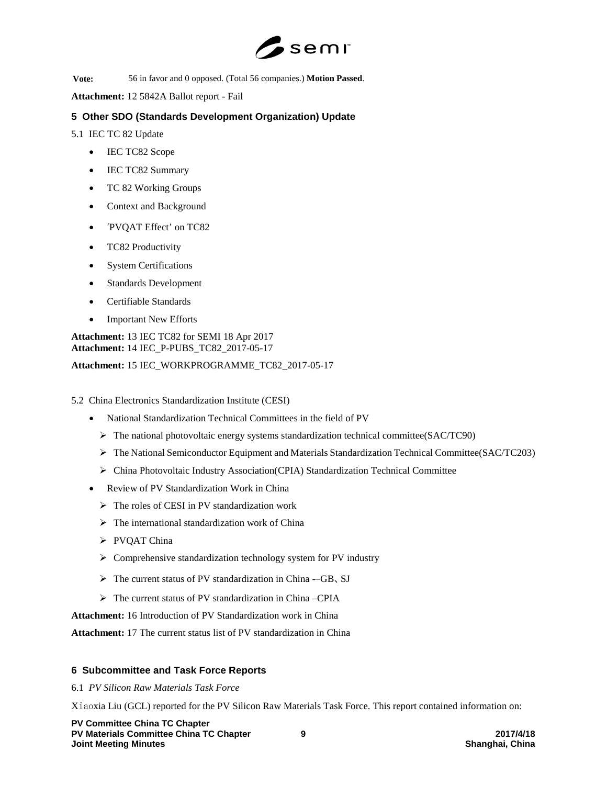

**Vote:** 56 in favor and 0 opposed. (Total 56 companies.) **Motion Passed**.

**Attachment:** 12 5842A Ballot report - Fail

# **5 Other SDO (Standards Development Organization) Update**

5.1 IEC TC 82 Update

- IEC TC82 Scope
- IEC TC82 Summary
- TC 82 Working Groups
- Context and Background
- 'PVQAT Effect' on TC82
- TC82 Productivity
- System Certifications
- Standards Development
- Certifiable Standards
- Important New Efforts

**Attachment:** 13 IEC TC82 for SEMI 18 Apr 2017 **Attachment:** 14 IEC\_P-PUBS\_TC82\_2017-05-17

**Attachment:** 15 IEC\_WORKPROGRAMME\_TC82\_2017-05-17

5.2 China Electronics Standardization Institute (CESI)

- National Standardization Technical Committees in the field of PV
	- $\triangleright$  The national photovoltaic energy systems standardization technical committee(SAC/TC90)
	- $\triangleright$  The National Semiconductor Equipment and Materials Standardization Technical Committee(SAC/TC203)
	- $\triangleright$  China Photovoltaic Industry Association(CPIA) Standardization Technical Committee
- Review of PV Standardization Work in China
	- $\triangleright$  The roles of CESI in PV standardization work
	- $\triangleright$  The international standardization work of China
	- > PVQAT China
	- $\triangleright$  Comprehensive standardization technology system for PV industry
	- The current status of PV standardization in China -–GB、SJ
	- $\triangleright$  The current status of PV standardization in China –CPIA

**Attachment:** 16 Introduction of PV Standardization work in China

**Attachment:** 17 The current status list of PV standardization in China

# **6 Subcommittee and Task Force Reports**

6.1 *PV Silicon Raw Materials Task Force*

Xiaoxia Liu (GCL) reported for the PV Silicon Raw Materials Task Force. This report contained information on:

**PV Committee China TC Chapter PV Materials Committee China TC Chapter 9 2017/4/18 Joint Meeting Minutes**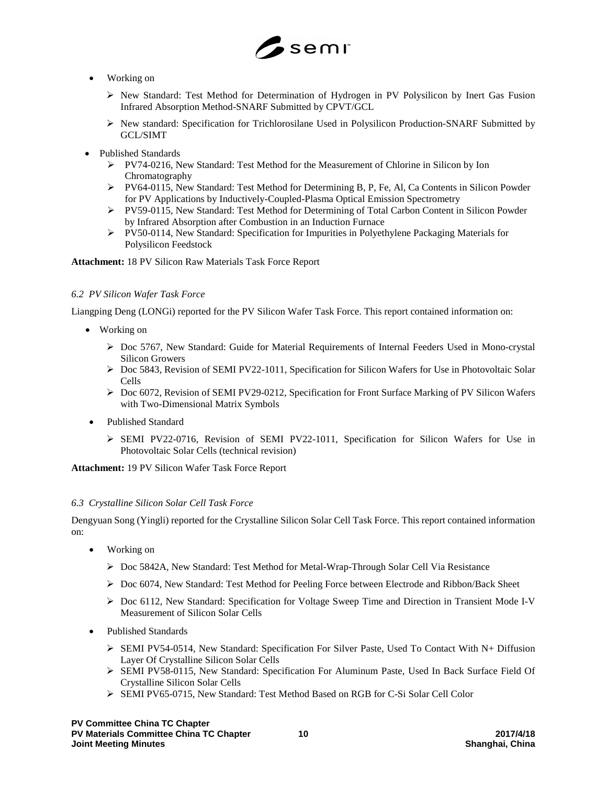

- Working on
	- New Standard: Test Method for Determination of Hydrogen in PV Polysilicon by Inert Gas Fusion Infrared Absorption Method-SNARF Submitted by CPVT/GCL
	- $\triangleright$  New standard: Specification for Trichlorosilane Used in Polysilicon Production-SNARF Submitted by GCL/SIMT
- Published Standards
	- PV74-0216, New Standard: Test Method for the Measurement of Chlorine in Silicon by Ion Chromatography
	- PV64-0115, New Standard: Test Method for Determining B, P, Fe, Al, Ca Contents in Silicon Powder for PV Applications by Inductively-Coupled-Plasma Optical Emission Spectrometry
	- PV59-0115, New Standard: Test Method for Determining of Total Carbon Content in Silicon Powder by Infrared Absorption after Combustion in an Induction Furnace
	- $\triangleright$  PV50-0114, New Standard: Specification for Impurities in Polyethylene Packaging Materials for Polysilicon Feedstock

**Attachment:** 18 PV Silicon Raw Materials Task Force Report

#### *6.2 PV Silicon Wafer Task Force*

Liangping Deng (LONGi) reported for the PV Silicon Wafer Task Force. This report contained information on:

- Working on
	- Doc 5767, New Standard: Guide for Material Requirements of Internal Feeders Used in Mono-crystal Silicon Growers
	- $\triangleright$  Doc 5843, Revision of SEMI PV22-1011, Specification for Silicon Wafers for Use in Photovoltaic Solar Cells
	- Doc 6072, Revision of SEMI PV29-0212, Specification for Front Surface Marking of PV Silicon Wafers with Two-Dimensional Matrix Symbols
- Published Standard
	- SEMI PV22-0716, Revision of SEMI PV22-1011, Specification for Silicon Wafers for Use in Photovoltaic Solar Cells (technical revision)

**Attachment:** 19 PV Silicon Wafer Task Force Report

#### *6.3 Crystalline Silicon Solar Cell Task Force*

Dengyuan Song (Yingli) reported for the Crystalline Silicon Solar Cell Task Force. This report contained information on:

- Working on
	- Doc 5842A, New Standard: Test Method for Metal-Wrap-Through Solar Cell Via Resistance
	- Doc 6074, New Standard: Test Method for Peeling Force between Electrode and Ribbon/Back Sheet
	- $\triangleright$  Doc 6112, New Standard: Specification for Voltage Sweep Time and Direction in Transient Mode I-V Measurement of Silicon Solar Cells
- Published Standards
	- $\triangleright$  SEMI PV54-0514, New Standard: Specification For Silver Paste, Used To Contact With N+ Diffusion Layer Of Crystalline Silicon Solar Cells
	- SEMI PV58-0115, New Standard: Specification For Aluminum Paste, Used In Back Surface Field Of Crystalline Silicon Solar Cells
	- SEMI PV65-0715, New Standard: Test Method Based on RGB for C-Si Solar Cell Color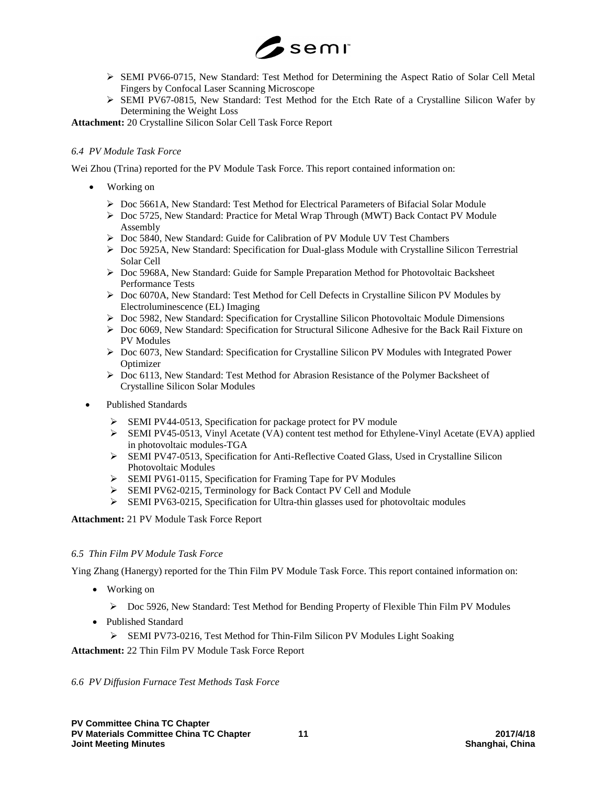

- SEMI PV66-0715, New Standard: Test Method for Determining the Aspect Ratio of Solar Cell Metal Fingers by Confocal Laser Scanning Microscope
- $\triangleright$  SEMI PV67-0815, New Standard: Test Method for the Etch Rate of a Crystalline Silicon Wafer by Determining the Weight Loss

**Attachment:** 20 Crystalline Silicon Solar Cell Task Force Report

# *6.4 PV Module Task Force*

Wei Zhou (Trina) reported for the PV Module Task Force. This report contained information on:

- Working on
	- $\triangleright$  Doc 5661A, New Standard: Test Method for Electrical Parameters of Bifacial Solar Module
	- Doc 5725, New Standard: Practice for Metal Wrap Through (MWT) Back Contact PV Module Assembly
	- Doc 5840, New Standard: Guide for Calibration of PV Module UV Test Chambers
	- ▶ Doc 5925A, New Standard: Specification for Dual-glass Module with Crystalline Silicon Terrestrial Solar Cell
	- ▶ Doc 5968A, New Standard: Guide for Sample Preparation Method for Photovoltaic Backsheet Performance Tests
	- Doc 6070A, New Standard: Test Method for Cell Defects in Crystalline Silicon PV Modules by Electroluminescence (EL) Imaging
	- $\triangleright$  Doc 5982, New Standard: Specification for Crystalline Silicon Photovoltaic Module Dimensions
	- $\triangleright$  Doc 6069, New Standard: Specification for Structural Silicone Adhesive for the Back Rail Fixture on PV Modules
	- Doc 6073, New Standard: Specification for Crystalline Silicon PV Modules with Integrated Power **Optimizer**
	- Doc 6113, New Standard: Test Method for Abrasion Resistance of the Polymer Backsheet of Crystalline Silicon Solar Modules
- Published Standards
	- SEMI PV44-0513, Specification for package protect for PV module
	- SEMI PV45-0513, Vinyl Acetate (VA) content test method for Ethylene-Vinyl Acetate (EVA) applied in photovoltaic modules-TGA
	- SEMI PV47-0513, Specification for Anti-Reflective Coated Glass, Used in Crystalline Silicon Photovoltaic Modules
	- $\triangleright$  SEMI PV61-0115, Specification for Framing Tape for PV Modules
	- SEMI PV62-0215, Terminology for Back Contact PV Cell and Module
	- SEMI PV63-0215, Specification for Ultra-thin glasses used for photovoltaic modules

# **Attachment:** 21 PV Module Task Force Report

# *6.5 Thin Film PV Module Task Force*

Ying Zhang (Hanergy) reported for the Thin Film PV Module Task Force. This report contained information on:

- Working on
	- Doc 5926, New Standard: Test Method for Bending Property of Flexible Thin Film PV Modules
- Published Standard
	- SEMI PV73-0216, Test Method for Thin-Film Silicon PV Modules Light Soaking

# **Attachment:** 22 Thin Film PV Module Task Force Report

# *6.6 PV Diffusion Furnace Test Methods Task Force*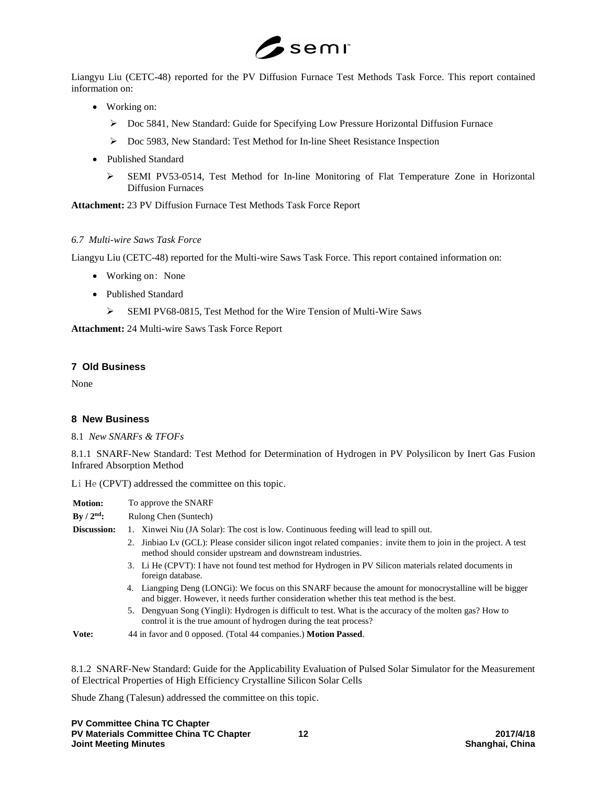

Liangyu Liu (CETC-48) reported for the PV Diffusion Furnace Test Methods Task Force. This report contained information on:

- Working on:
	- ▶ Doc 5841, New Standard: Guide for Specifying Low Pressure Horizontal Diffusion Furnace
	- Doc 5983, New Standard: Test Method for In-line Sheet Resistance Inspection
- Published Standard
	- SEMI PV53-0514, Test Method for In-line Monitoring of Flat Temperature Zone in Horizontal Diffusion Furnaces

**Attachment:** 23 PV Diffusion Furnace Test Methods Task Force Report

# *6.7 Multi-wire Saws Task Force*

Liangyu Liu (CETC-48) reported for the Multi-wire Saws Task Force. This report contained information on:

- Working on: None
- Published Standard
	- SEMI PV68-0815, Test Method for the Wire Tension of Multi-Wire Saws

**Attachment:** 24 Multi-wire Saws Task Force Report

# **7 Old Business**

None

# **8 New Business**

8.1 *New SNARFs & TFOFs*

8.1.1 SNARF-New Standard: Test Method for Determination of Hydrogen in PV Polysilicon by Inert Gas Fusion Infrared Absorption Method

Li He (CPVT) addressed the committee on this topic.

| <b>Motion:</b>         | To approve the SNARF                                                                                                                                                                                 |  |  |
|------------------------|------------------------------------------------------------------------------------------------------------------------------------------------------------------------------------------------------|--|--|
| By / $2^{\text{nd}}$ : | Rulong Chen (Suntech)                                                                                                                                                                                |  |  |
| <b>Discussion:</b>     | 1. Xinwei Niu (JA Solar): The cost is low. Continuous feeding will lead to spill out.                                                                                                                |  |  |
|                        | 2. Jinbiao Lv (GCL): Please consider silicon ingot related companies; invite them to join in the project. A test<br>method should consider upstream and downstream industries.                       |  |  |
|                        | 3. Li He (CPVT): I have not found test method for Hydrogen in PV Silicon materials related documents in<br>foreign database.                                                                         |  |  |
|                        | 4. Liangping Deng (LONGi): We focus on this SNARF because the amount for monocrystalline will be bigger<br>and bigger. However, it needs further consideration whether this teat method is the best. |  |  |
|                        | 5. Dengyuan Song (Yingli): Hydrogen is difficult to test. What is the accuracy of the molten gas? How to<br>control it is the true amount of hydrogen during the teat process?                       |  |  |
| Vote:                  | 44 in favor and 0 opposed. (Total 44 companies.) <b>Motion Passed.</b>                                                                                                                               |  |  |

8.1.2 SNARF-New Standard: Guide for the Applicability Evaluation of Pulsed Solar Simulator for the Measurement of Electrical Properties of High Efficiency Crystalline Silicon Solar Cells

Shude Zhang (Talesun) addressed the committee on this topic.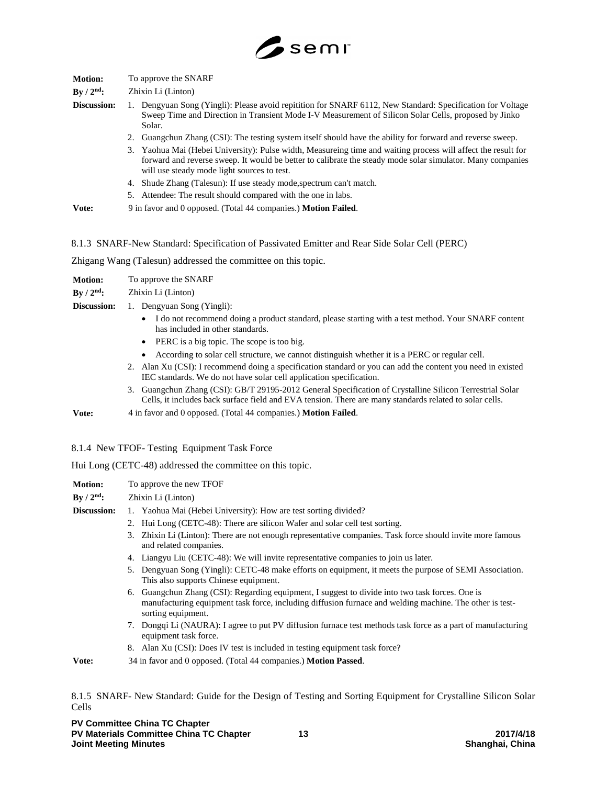

| <b>Motion:</b>         | To approve the SNARF                                                                                                                                                                                                                                                       |  |  |
|------------------------|----------------------------------------------------------------------------------------------------------------------------------------------------------------------------------------------------------------------------------------------------------------------------|--|--|
| By / $2^{\text{nd}}$ : | Zhixin Li (Linton)                                                                                                                                                                                                                                                         |  |  |
| Discussion:            | 1. Dengyuan Song (Yingli): Please avoid repitition for SNARF 6112, New Standard: Specification for Voltage<br>Sweep Time and Direction in Transient Mode I-V Measurement of Silicon Solar Cells, proposed by Jinko<br>Solar.                                               |  |  |
|                        | 2. Guangchun Zhang (CSI): The testing system itself should have the ability for forward and reverse sweep.                                                                                                                                                                 |  |  |
|                        | 3. Yaohua Mai (Hebei University): Pulse width, Measureing time and waiting process will affect the result for<br>forward and reverse sweep. It would be better to calibrate the steady mode solar simulator. Many companies<br>will use steady mode light sources to test. |  |  |
|                        | 4. Shude Zhang (Talesun): If use steady mode, spectrum can't match.                                                                                                                                                                                                        |  |  |
|                        | 5. Attendee: The result should compared with the one in labs.                                                                                                                                                                                                              |  |  |
| Vote:                  | 9 in favor and 0 opposed. (Total 44 companies.) <b>Motion Failed.</b>                                                                                                                                                                                                      |  |  |

8.1.3 SNARF-New Standard: Specification of Passivated Emitter and Rear Side Solar Cell (PERC)

Zhigang Wang (Talesun) addressed the committee on this topic.

**Motion:** To approve the SNARF

**By / 2nd:** Zhixin Li (Linton)

- **Discussion:** 1. Dengyuan Song (Yingli):
	- I do not recommend doing a product standard, please starting with a test method. Your SNARF content has included in other standards.
	- PERC is a big topic. The scope is too big.
	- According to solar cell structure, we cannot distinguish whether it is a PERC or regular cell.
	- 2. Alan Xu (CSI): I recommend doing a specification standard or you can add the content you need in existed IEC standards. We do not have solar cell application specification.
	- 3. Guangchun Zhang (CSI): GB/T 29195-2012 General Specification of Crystalline Silicon Terrestrial Solar Cells, it includes back surface field and EVA tension. There are many standards related to solar cells.

**Vote:** 4 in favor and 0 opposed. (Total 44 companies.) **Motion Failed**.

# 8.1.4 New TFOF- Testing Equipment Task Force

Hui Long (CETC-48) addressed the committee on this topic.

| <b>Motion:</b>         | To approve the new TFOF                                                                                                                                                                                                          |  |  |
|------------------------|----------------------------------------------------------------------------------------------------------------------------------------------------------------------------------------------------------------------------------|--|--|
| By / $2^{\text{nd}}$ : | Zhixin Li (Linton)                                                                                                                                                                                                               |  |  |
| Discussion:            | 1. Yaohua Mai (Hebei University): How are test sorting divided?                                                                                                                                                                  |  |  |
|                        | 2. Hui Long (CETC-48): There are silicon Wafer and solar cell test sorting.                                                                                                                                                      |  |  |
|                        | 3. Zhixin Li (Linton): There are not enough representative companies. Task force should invite more famous<br>and related companies.                                                                                             |  |  |
|                        | 4. Liangyu Liu (CETC-48): We will invite representative companies to join us later.                                                                                                                                              |  |  |
|                        | 5. Dengyuan Song (Yingli): CETC-48 make efforts on equipment, it meets the purpose of SEMI Association.<br>This also supports Chinese equipment.                                                                                 |  |  |
|                        | 6. Guangchun Zhang (CSI): Regarding equipment, I suggest to divide into two task forces. One is<br>manufacturing equipment task force, including diffusion furnace and welding machine. The other is test-<br>sorting equipment. |  |  |
|                        | 7. Dongqi Li (NAURA): I agree to put PV diffusion furnace test methods task force as a part of manufacturing<br>equipment task force.                                                                                            |  |  |
|                        | 8. Alan Xu (CSI): Does IV test is included in testing equipment task force?                                                                                                                                                      |  |  |

**Vote:** 34 in favor and 0 opposed. (Total 44 companies.) **Motion Passed**.

8.1.5 SNARF- New Standard: Guide for the Design of Testing and Sorting Equipment for Crystalline Silicon Solar Cells

**PV Committee China TC Chapter PV Materials Committee China TC Chapter 13 2017/4/18 Joint Meeting Minutes**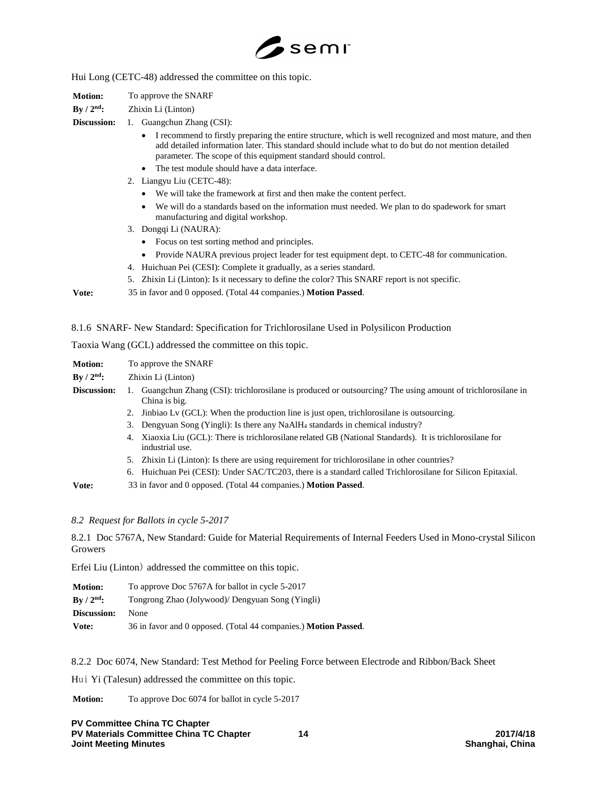

Hui Long (CETC-48) addressed the committee on this topic.

**Motion:** To approve the SNARF

# **By / 2nd:** Zhixin Li (Linton)

**Discussion:** 1. Guangchun Zhang (CSI):

- I recommend to firstly preparing the entire structure, which is well recognized and most mature, and then add detailed information later. This standard should include what to do but do not mention detailed parameter. The scope of this equipment standard should control.
- The test module should have a data interface.
- 2. Liangyu Liu (CETC-48):
	- We will take the framework at first and then make the content perfect.
	- We will do a standards based on the information must needed. We plan to do spadework for smart manufacturing and digital workshop.
- 3. Dongqi Li (NAURA):
	- Focus on test sorting method and principles.
	- Provide NAURA previous project leader for test equipment dept. to CETC-48 for communication.
- 4. Huichuan Pei (CESI): Complete it gradually, as a series standard.
- 5. Zhixin Li (Linton): Is it necessary to define the color? This SNARF report is not specific.

**Vote:** 35 in favor and 0 opposed. (Total 44 companies.) **Motion Passed**.

8.1.6 SNARF- New Standard: Specification for Trichlorosilane Used in Polysilicon Production

Taoxia Wang (GCL) addressed the committee on this topic.

| <b>Motion:</b> | To approve the SNARF |                                                                                                                              |
|----------------|----------------------|------------------------------------------------------------------------------------------------------------------------------|
| By $/ 2nd$ :   | Zhixin Li (Linton)   |                                                                                                                              |
| Discussion:    | Ι.                   | Guangchun Zhang (CSI): trichlorosilane is produced or outsourcing? The using amount of trichlorosilane in<br>China is big.   |
|                |                      | 2. Jinbiao Lv (GCL): When the production line is just open, trichlorosilane is outsourcing.                                  |
|                |                      | 3. Dengyuan Song (Yingli): Is there any NaAlH <sub>4</sub> standards in chemical industry?                                   |
|                |                      | 4. Xiaoxia Liu (GCL): There is trichlorosilane related GB (National Standards). It is trichlorosilane for<br>industrial use. |
|                |                      | 5. Zhixin Li (Linton): Is there are using requirement for trichlorosilane in other countries?                                |
|                |                      | 6. Huichuan Pei (CESI): Under SAC/TC203, there is a standard called Trichlorosilane for Silicon Epitaxial.                   |
| $T$ . $\sim$   |                      | 22 $\ldots$ form and 0 concern (Tetal 44 concernies) Matten Densed                                                           |

**Vote:** 33 in favor and 0 opposed. (Total 44 companies.) **Motion Passed**.

*8.2 Request for Ballots in cycle 5-2017*

8.2.1 Doc 5767A, New Standard: Guide for Material Requirements of Internal Feeders Used in Mono-crystal Silicon Growers

Erfei Liu (Linton) addressed the committee on this topic.

| To approve Doc 5767A for ballot in cycle 5-2017<br><b>Motion:</b> |                                                                         |
|-------------------------------------------------------------------|-------------------------------------------------------------------------|
| $\rm\,By\,$ / $\rm 2^{nd}\mathbf{:}$                              | Tongrong Zhao (Jolywood)/ Dengyuan Song (Yingli)                        |
| Discussion:                                                       | <b>None</b>                                                             |
| Vote:                                                             | 36 in favor and 0 opposed. (Total 44 companies.) <b>Motion Passed</b> . |

8.2.2 Doc 6074, New Standard: Test Method for Peeling Force between Electrode and Ribbon/Back Sheet

Hui Yi (Talesun) addressed the committee on this topic.

**Motion:** To approve Doc 6074 for ballot in cycle 5-2017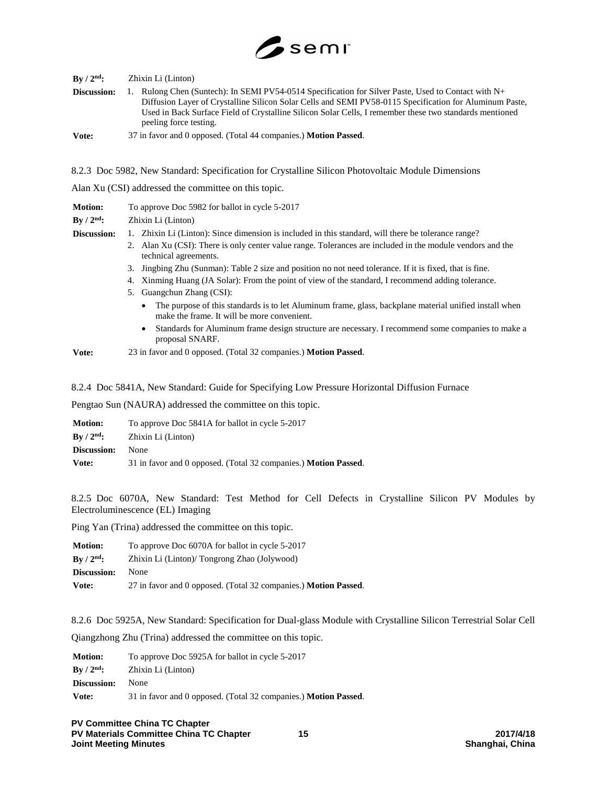

| $\rm\,By\,/\,2^{nd}\rm:$ | Zhixin Li (Linton)                                                                                                                                                                                                                                                                                                                                  |
|--------------------------|-----------------------------------------------------------------------------------------------------------------------------------------------------------------------------------------------------------------------------------------------------------------------------------------------------------------------------------------------------|
| Discussion:              | 1. Rulong Chen (Suntech): In SEMI PV54-0514 Specification for Silver Paste, Used to Contact with N+<br>Diffusion Layer of Crystalline Silicon Solar Cells and SEMI PV58-0115 Specification for Aluminum Paste,<br>Used in Back Surface Field of Crystalline Silicon Solar Cells, I remember these two standards mentioned<br>peeling force testing. |
| Vote:                    | 37 in favor and 0 opposed. (Total 44 companies.) <b>Motion Passed.</b>                                                                                                                                                                                                                                                                              |

8.2.3 Doc 5982, New Standard: Specification for Crystalline Silicon Photovoltaic Module Dimensions

Alan Xu (CSI) addressed the committee on this topic.

| <b>Motion:</b> | To approve Doc 5982 for ballot in cycle 5-2017                                                                                                                     |  |
|----------------|--------------------------------------------------------------------------------------------------------------------------------------------------------------------|--|
| $By / 2nd$ :   | Zhixin Li (Linton)                                                                                                                                                 |  |
| Discussion:    | 1. Zhixin Li (Linton): Since dimension is included in this standard, will there be tolerance range?                                                                |  |
|                | 2. Alan Xu (CSI): There is only center value range. Tolerances are included in the module vendors and the<br>technical agreements.                                 |  |
|                | 3. Jingbing Zhu (Sunman): Table 2 size and position no not need tolerance. If it is fixed, that is fine.                                                           |  |
|                | 4. Xinming Huang (JA Solar): From the point of view of the standard, I recommend adding tolerance.                                                                 |  |
|                | 5. Guangchun Zhang (CSI):                                                                                                                                          |  |
|                | The purpose of this standards is to let Aluminum frame, glass, backplane material unified install when<br>$\bullet$<br>make the frame. It will be more convenient. |  |
|                | Standards for Aluminum frame design structure are necessary. I recommend some companies to make a<br>$\bullet$                                                     |  |

**Vote:** 23 in favor and 0 opposed. (Total 32 companies.) **Motion Passed**.

8.2.4 Doc 5841A, New Standard: Guide for Specifying Low Pressure Horizontal Diffusion Furnace

Pengtao Sun (NAURA) addressed the committee on this topic.

proposal SNARF.

| To approve Doc 5841A for ballot in cycle 5-2017<br><b>Motion:</b> |                                                                        |
|-------------------------------------------------------------------|------------------------------------------------------------------------|
| $\rm\,By\,$ / $\rm 2^{nd}\mathbf{:}$                              | Zhixin Li (Linton)                                                     |
| Discussion:                                                       | <b>None</b>                                                            |
| Vote:                                                             | 31 in favor and 0 opposed. (Total 32 companies.) <b>Motion Passed.</b> |

8.2.5 Doc 6070A, New Standard: Test Method for Cell Defects in Crystalline Silicon PV Modules by Electroluminescence (EL) Imaging

Ping Yan (Trina) addressed the committee on this topic.

| To approve Doc 6070A for ballot in cycle 5-2017<br><b>Motion:</b>                    |                                                                        |
|--------------------------------------------------------------------------------------|------------------------------------------------------------------------|
| $\rm\,By\,$ / $\rm 2^{nd}\mathbf{:}$<br>Zhixin Li (Linton)/ Tongrong Zhao (Jolywood) |                                                                        |
| Discussion:                                                                          | <b>None</b>                                                            |
| Vote:                                                                                | 27 in favor and 0 opposed. (Total 32 companies.) <b>Motion Passed.</b> |

8.2.6 Doc 5925A, New Standard: Specification for Dual-glass Module with Crystalline Silicon Terrestrial Solar Cell Qiangzhong Zhu (Trina) addressed the committee on this topic.

**Motion:** To approve Doc 5925A for ballot in cycle 5-2017 **By / 2nd:** Zhixin Li (Linton) **Discussion:** None **Vote:** 31 in favor and 0 opposed. (Total 32 companies.) **Motion Passed**.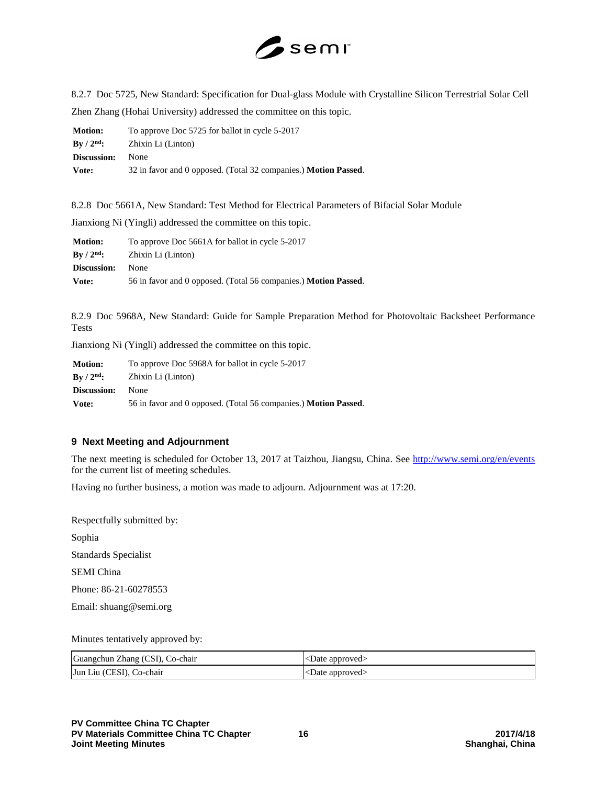

8.2.7 Doc 5725, New Standard: Specification for Dual-glass Module with Crystalline Silicon Terrestrial Solar Cell Zhen Zhang (Hohai University) addressed the committee on this topic.

| To approve Doc 5725 for ballot in cycle 5-2017<br><b>Motion:</b> |                                                                        |
|------------------------------------------------------------------|------------------------------------------------------------------------|
| $\rm\,By\,$ / $\rm 2^{nd}\mathbf{:}$                             | Zhixin Li (Linton)                                                     |
| Discussion:                                                      | <b>None</b>                                                            |
| Vote:                                                            | 32 in favor and 0 opposed. (Total 32 companies.) <b>Motion Passed.</b> |

8.2.8 Doc 5661A, New Standard: Test Method for Electrical Parameters of Bifacial Solar Module

Jianxiong Ni (Yingli) addressed the committee on this topic.

| To approve Doc 5661A for ballot in cycle 5-2017<br><b>Motion:</b> |                                                                        |
|-------------------------------------------------------------------|------------------------------------------------------------------------|
| $\rm{Bv}$ / $\rm{2^{nd}}$ :                                       | Zhixin Li (Linton)                                                     |
| <b>Discussion:</b>                                                | <b>None</b>                                                            |
| Vote:                                                             | 56 in favor and 0 opposed. (Total 56 companies.) <b>Motion Passed.</b> |

8.2.9 Doc 5968A, New Standard: Guide for Sample Preparation Method for Photovoltaic Backsheet Performance Tests

Jianxiong Ni (Yingli) addressed the committee on this topic.

| <b>Motion:</b>              | To approve Doc 5968A for ballot in cycle 5-2017                        |  |
|-----------------------------|------------------------------------------------------------------------|--|
| $\rm{Bv}$ / $\rm{2^{nd}}$ : | Zhixin Li (Linton)                                                     |  |
| Discussion:                 | <b>None</b>                                                            |  |
| Vote:                       | 56 in favor and 0 opposed. (Total 56 companies.) <b>Motion Passed.</b> |  |

# **9 Next Meeting and Adjournment**

The next meeting is scheduled for October 13, 2017 at Taizhou, Jiangsu, China. See<http://www.semi.org/en/events> for the current list of meeting schedules.

Having no further business, a motion was made to adjourn. Adjournment was at 17:20.

Respectfully submitted by:

Sophia

Standards Specialist

SEMI China

Phone: 86-21-60278553

Email: shuang@semi.org

Minutes tentatively approved by:

| Guangchun Zhang (CSI), Co-chair | <date approved=""></date> |
|---------------------------------|---------------------------|
| Jun Liu (CESI), Co-chair        | <date approved=""></date> |